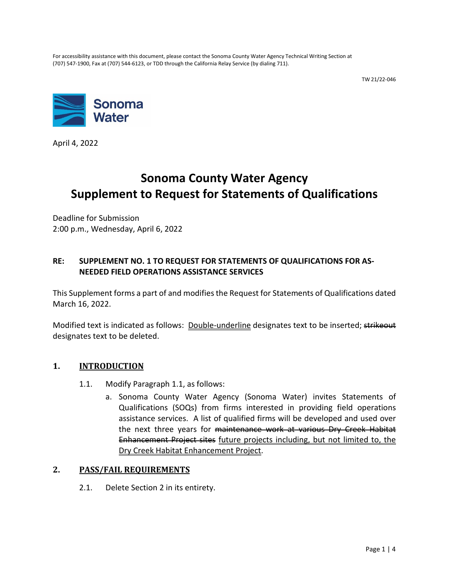For accessibility assistance with this document, please contact the Sonoma County Water Agency Technical Writing Section at (707) 547-1900, Fax at (707) 544-6123, or TDD through the California Relay Service (by dialing 711).

TW 21/22-046



April 4, 2022

# **Sonoma County Water Agency Supplement to Request for Statements of Qualifications**

Deadline for Submission 2:00 p.m., Wednesday, April 6, 2022

## **RE: SUPPLEMENT NO. 1 TO REQUEST FOR STATEMENTS OF QUALIFICATIONS FOR AS-NEEDED FIELD OPERATIONS ASSISTANCE SERVICES**

This Supplement forms a part of and modifies the Request for Statements of Qualifications dated March 16, 2022.

Modified text is indicated as follows: Double-underline designates text to be inserted; strikeout designates text to be deleted.

## **1. INTRODUCTION**

- 1.1. Modify Paragraph 1.1, as follows:
	- a. Sonoma County Water Agency (Sonoma Water) invites Statements of Qualifications (SOQs) from firms interested in providing field operations assistance services. A list of qualified firms will be developed and used over the next three years for maintenance work at various Dry Creek Habitat Enhancement Project sites future projects including, but not limited to, the Dry Creek Habitat Enhancement Project.

#### **2. PASS/FAIL REQUIREMENTS**

2.1. Delete Section 2 in its entirety.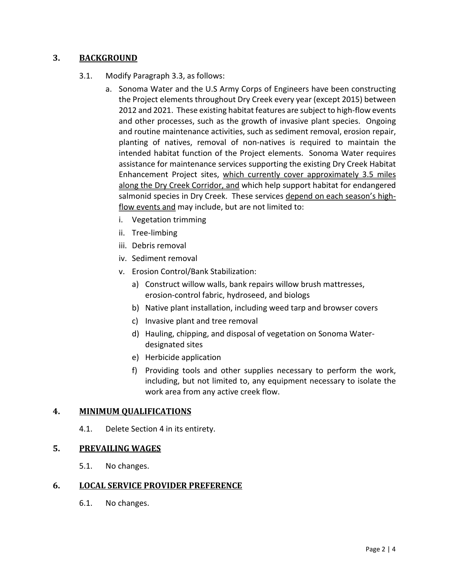## **3. BACKGROUND**

## 3.1. Modify Paragraph 3.3, as follows:

- a. Sonoma Water and the U.S Army Corps of Engineers have been constructing the Project elements throughout Dry Creek every year (except 2015) between 2012 and 2021. These existing habitat features are subject to high-flow events and other processes, such as the growth of invasive plant species. Ongoing and routine maintenance activities, such as sediment removal, erosion repair, planting of natives, removal of non-natives is required to maintain the intended habitat function of the Project elements. Sonoma Water requires assistance for maintenance services supporting the existing Dry Creek Habitat Enhancement Project sites, which currently cover approximately 3.5 miles along the Dry Creek Corridor, and which help support habitat for endangered salmonid species in Dry Creek. These services depend on each season's highflow events and may include, but are not limited to:
	- i. Vegetation trimming
	- ii. Tree-limbing
	- iii. Debris removal
	- iv. Sediment removal
	- v. Erosion Control/Bank Stabilization:
		- a) Construct willow walls, bank repairs willow brush mattresses, erosion-control fabric, hydroseed, and biologs
		- b) Native plant installation, including weed tarp and browser covers
		- c) Invasive plant and tree removal
		- d) Hauling, chipping, and disposal of vegetation on Sonoma Waterdesignated sites
		- e) Herbicide application
		- f) Providing tools and other supplies necessary to perform the work, including, but not limited to, any equipment necessary to isolate the work area from any active creek flow.

#### <span id="page-1-0"></span>**4. MINIMUM QUALIFICATIONS**

4.1. Delete Section 4 in its entirety.

#### **5. PREVAILING WAGES**

5.1. No changes.

#### **6. LOCAL SERVICE PROVIDER PREFERENCE**

6.1. No changes.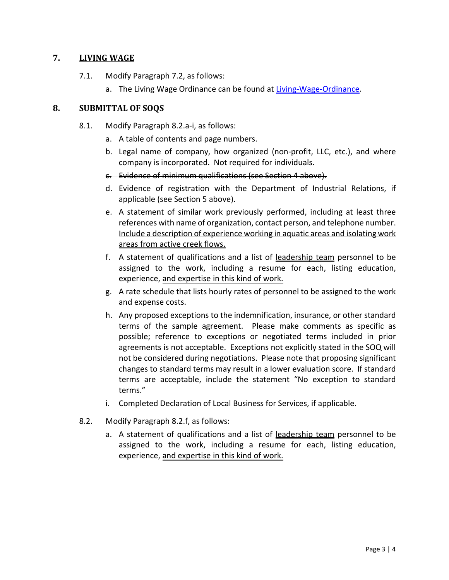## **7. LIVING WAGE**

- 7.1. Modify Paragraph 7.2, as follows:
	- a. The Living Wage Ordinance can be found at [Living-Wage-Ordinance.](http://sonomacounty.ca.gov/CAO/Living-Wage-Ordinance/)

## **8. SUBMITTAL OF SOQS**

- 8.1. Modify Paragraph 8.2.a-i, as follows:
	- a. A table of contents and page numbers.
	- b. Legal name of company, how organized (non-profit, LLC, etc.), and where company is incorporated. Not required for individuals.
	- c. Evidence of minimum qualifications (see Section [4](#page-1-0) above).
	- d. Evidence of registration with the Department of Industrial Relations, if applicable (see Section 5 above).
	- e. A statement of similar work previously performed, including at least three references with name of organization, contact person, and telephone number. Include a description of experience working in aquatic areas and isolating work areas from active creek flows.
	- f. A statement of qualifications and a list of leadership team personnel to be assigned to the work, including a resume for each, listing education, experience, and expertise in this kind of work.
	- g. A rate schedule that lists hourly rates of personnel to be assigned to the work and expense costs.
	- h. Any proposed exceptions to the indemnification, insurance, or other standard terms of the sample agreement. Please make comments as specific as possible; reference to exceptions or negotiated terms included in prior agreements is not acceptable. Exceptions not explicitly stated in the SOQ will not be considered during negotiations. Please note that proposing significant changes to standard terms may result in a lower evaluation score. If standard terms are acceptable, include the statement "No exception to standard terms."
	- i. Completed Declaration of Local Business for Services, if applicable.
- 8.2. Modify Paragraph 8.2.f, as follows:
	- a. A statement of qualifications and a list of leadership team personnel to be assigned to the work, including a resume for each, listing education, experience, and expertise in this kind of work.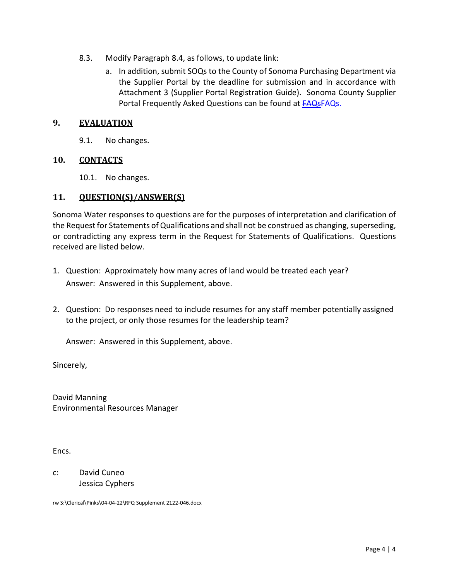- 8.3. Modify Paragraph 8.4, as follows, to update link:
	- a. In addition, submit SOQs to the County of Sonoma Purchasing Department via the Supplier Portal by the deadline for submission and in accordance with Attachment 3 (Supplier Portal Registration Guide). Sonoma County Supplier Portal Frequently Asked Questions can be found at [FAQsFAQs.](https://sonomacounty.ca.gov/General-Services/Purchasing/Doing-Business-with-the-County/Frequently-Asked-Questions/)

#### **9. EVALUATION**

9.1. No changes.

## **10. CONTACTS**

10.1. No changes.

#### **11. QUESTION(S)/ANSWER(S)**

Sonoma Water responses to questions are for the purposes of interpretation and clarification of the Request for Statements of Qualifications and shall not be construed as changing, superseding, or contradicting any express term in the Request for Statements of Qualifications. Questions received are listed below.

- 1. Question: Approximately how many acres of land would be treated each year? Answer: Answered in this Supplement, above.
- 2. Question: Do responses need to include resumes for any staff member potentially assigned to the project, or only those resumes for the leadership team?

Answer: Answered in this Supplement, above.

Sincerely,

David Manning Environmental Resources Manager

Encs.

c: David Cuneo Jessica Cyphers

rw S:\Clerical\Pinks\04-04-22\RFQ Supplement 2122-046.docx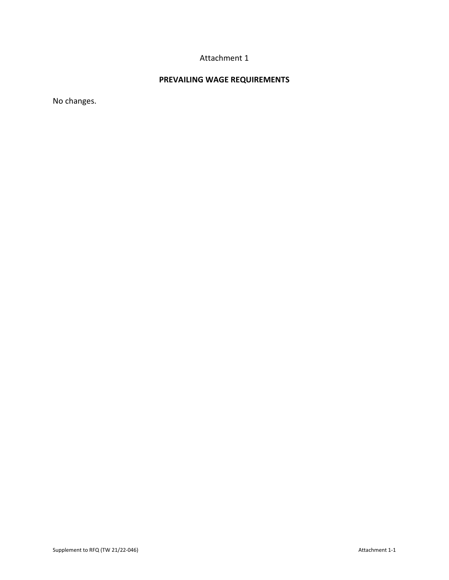# Attachment 1

# **PREVAILING WAGE REQUIREMENTS**

No changes.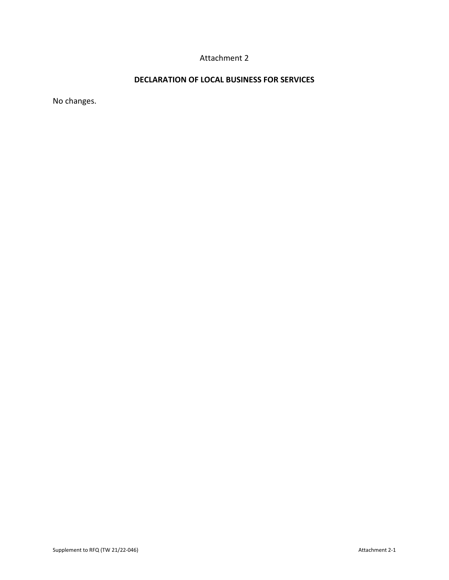# Attachment 2

## **DECLARATION OF LOCAL BUSINESS FOR SERVICES**

No changes.